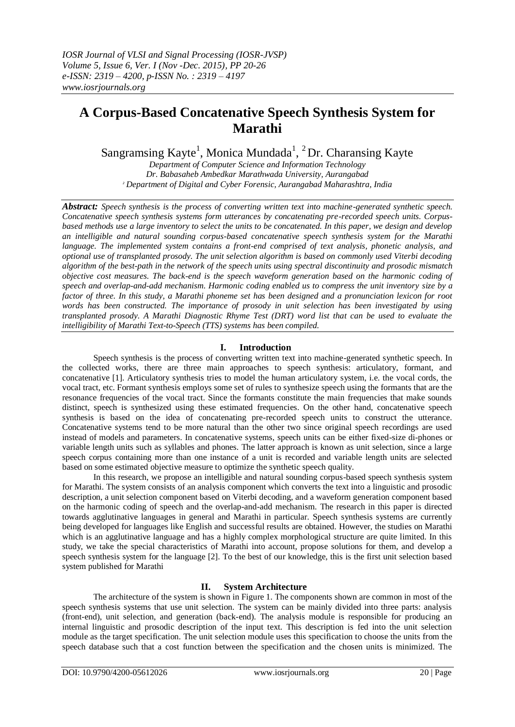# **A Corpus-Based Concatenative Speech Synthesis System for Marathi**

Sangramsing Kayte<sup>1</sup>, Monica Mundada<sup>1</sup>, <sup>2</sup>Dr. Charansing Kayte

*Department of Computer Science and Information Technology Dr. Babasaheb Ambedkar Marathwada University, Aurangabad <sup>2</sup>Department of Digital and Cyber Forensic, Aurangabad Maharashtra, India*

*Abstract: Speech synthesis is the process of converting written text into machine-generated synthetic speech. Concatenative speech synthesis systems form utterances by concatenating pre-recorded speech units. Corpusbased methods use a large inventory to select the units to be concatenated. In this paper, we design and develop an intelligible and natural sounding corpus-based concatenative speech synthesis system for the Marathi language. The implemented system contains a front-end comprised of text analysis, phonetic analysis, and optional use of transplanted prosody. The unit selection algorithm is based on commonly used Viterbi decoding algorithm of the best-path in the network of the speech units using spectral discontinuity and prosodic mismatch objective cost measures. The back-end is the speech waveform generation based on the harmonic coding of speech and overlap-and-add mechanism. Harmonic coding enabled us to compress the unit inventory size by a factor of three. In this study, a Marathi phoneme set has been designed and a pronunciation lexicon for root words has been constructed. The importance of prosody in unit selection has been investigated by using transplanted prosody. A Marathi Diagnostic Rhyme Test (DRT) word list that can be used to evaluate the intelligibility of Marathi Text-to-Speech (TTS) systems has been compiled.* 

## **I. Introduction**

Speech synthesis is the process of converting written text into machine-generated synthetic speech. In the collected works, there are three main approaches to speech synthesis: articulatory, formant, and concatenative [1]. Articulatory synthesis tries to model the human articulatory system, i.e. the vocal cords, the vocal tract, etc. Formant synthesis employs some set of rules to synthesize speech using the formants that are the resonance frequencies of the vocal tract. Since the formants constitute the main frequencies that make sounds distinct, speech is synthesized using these estimated frequencies. On the other hand, concatenative speech synthesis is based on the idea of concatenating pre-recorded speech units to construct the utterance. Concatenative systems tend to be more natural than the other two since original speech recordings are used instead of models and parameters. In concatenative systems, speech units can be either fixed-size di-phones or variable length units such as syllables and phones. The latter approach is known as unit selection, since a large speech corpus containing more than one instance of a unit is recorded and variable length units are selected based on some estimated objective measure to optimize the synthetic speech quality.

In this research, we propose an intelligible and natural sounding corpus-based speech synthesis system for Marathi. The system consists of an analysis component which converts the text into a linguistic and prosodic description, a unit selection component based on Viterbi decoding, and a waveform generation component based on the harmonic coding of speech and the overlap-and-add mechanism. The research in this paper is directed towards agglutinative languages in general and Marathi in particular. Speech synthesis systems are currently being developed for languages like English and successful results are obtained. However, the studies on Marathi which is an agglutinative language and has a highly complex morphological structure are quite limited. In this study, we take the special characteristics of Marathi into account, propose solutions for them, and develop a speech synthesis system for the language [2]. To the best of our knowledge, this is the first unit selection based system published for Marathi

## **II. System Architecture**

The architecture of the system is shown in Figure 1. The components shown are common in most of the speech synthesis systems that use unit selection. The system can be mainly divided into three parts: analysis (front-end), unit selection, and generation (back-end). The analysis module is responsible for producing an internal linguistic and prosodic description of the input text. This description is fed into the unit selection module as the target specification. The unit selection module uses this specification to choose the units from the speech database such that a cost function between the specification and the chosen units is minimized. The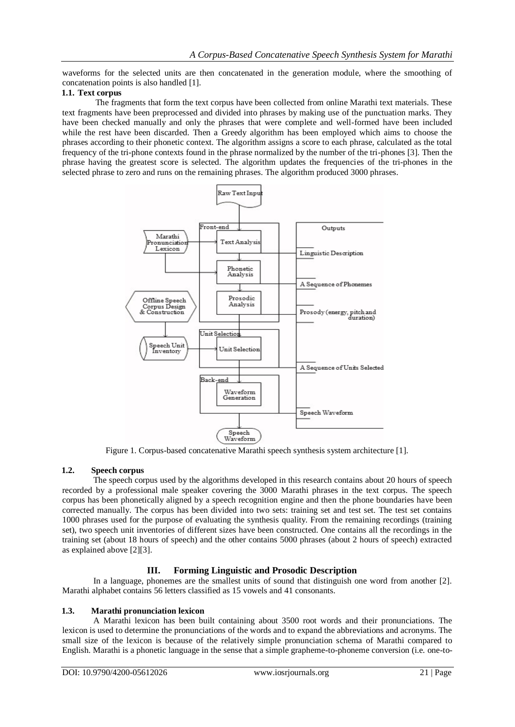waveforms for the selected units are then concatenated in the generation module, where the smoothing of concatenation points is also handled [1].

## **1.1. Text corpus**

The fragments that form the text corpus have been collected from online Marathi text materials. These text fragments have been preprocessed and divided into phrases by making use of the punctuation marks. They have been checked manually and only the phrases that were complete and well-formed have been included while the rest have been discarded. Then a Greedy algorithm has been employed which aims to choose the phrases according to their phonetic context. The algorithm assigns a score to each phrase, calculated as the total frequency of the tri-phone contexts found in the phrase normalized by the number of the tri-phones [3]. Then the phrase having the greatest score is selected. The algorithm updates the frequencies of the tri-phones in the selected phrase to zero and runs on the remaining phrases. The algorithm produced 3000 phrases.



Figure 1. Corpus-based concatenative Marathi speech synthesis system architecture [1].

## **1.2. Speech corpus**

The speech corpus used by the algorithms developed in this research contains about 20 hours of speech recorded by a professional male speaker covering the 3000 Marathi phrases in the text corpus. The speech corpus has been phonetically aligned by a speech recognition engine and then the phone boundaries have been corrected manually. The corpus has been divided into two sets: training set and test set. The test set contains 1000 phrases used for the purpose of evaluating the synthesis quality. From the remaining recordings (training set), two speech unit inventories of different sizes have been constructed. One contains all the recordings in the training set (about 18 hours of speech) and the other contains 5000 phrases (about 2 hours of speech) extracted as explained above [2][3].

## **III. Forming Linguistic and Prosodic Description**

In a language, phonemes are the smallest units of sound that distinguish one word from another [2]. Marathi alphabet contains 56 letters classified as 15 vowels and 41 consonants.

#### **1.3. Marathi pronunciation lexicon**

A Marathi lexicon has been built containing about 3500 root words and their pronunciations. The lexicon is used to determine the pronunciations of the words and to expand the abbreviations and acronyms. The small size of the lexicon is because of the relatively simple pronunciation schema of Marathi compared to English. Marathi is a phonetic language in the sense that a simple grapheme-to-phoneme conversion (i.e. one-to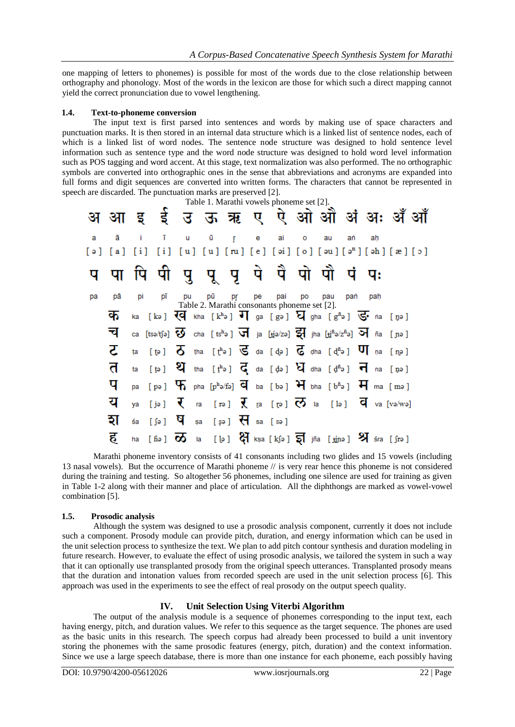one mapping of letters to phonemes) is possible for most of the words due to the close relationship between orthography and phonology. Most of the words in the lexicon are those for which such a direct mapping cannot yield the correct pronunciation due to vowel lengthening.

#### **1.4. Text-to-phoneme conversion**

The input text is first parsed into sentences and words by making use of space characters and punctuation marks. It is then stored in an internal data structure which is a linked list of sentence nodes, each of which is a linked list of word nodes. The sentence node structure was designed to hold sentence level information such as sentence type and the word node structure was designed to hold word level information such as POS tagging and word accent. At this stage, text normalization was also performed. The no orthographic symbols are converted into orthographic ones in the sense that abbreviations and acronyms are expanded into full forms and digit sequences are converted into written forms. The characters that cannot be represented in speech are discarded. The punctuation marks are preserved [2].

|    | Table 1. Marathi vowels phoneme set [2]. |     |                                                                                                                                             |    |  |    |    |    |                                                        |              |     |    |         |  |
|----|------------------------------------------|-----|---------------------------------------------------------------------------------------------------------------------------------------------|----|--|----|----|----|--------------------------------------------------------|--------------|-----|----|---------|--|
|    |                                          |     | अ आइई उऊऋए ऐ ओ औं अं अः अँ औं                                                                                                               |    |  |    |    |    |                                                        |              |     |    |         |  |
| a  | ā                                        |     | i īu ūŗe ai                                                                                                                                 |    |  |    |    |    |                                                        | $\mathbf{O}$ | au  | ań | ah      |  |
|    | $[\circ] [\circ]$                        | [i] |                                                                                                                                             |    |  |    |    |    | $[i] [u] [u] [ru] [e] [ai] [o] [au] [an] [ah] [x] [o]$ |              |     |    |         |  |
|    |                                          |     | प पा पि पी पु पू पृ पे पै पो पौ पं पः                                                                                                       |    |  |    |    |    |                                                        |              |     |    |         |  |
| pa | рā                                       | pi  | pī                                                                                                                                          | pu |  | pū | pr | pe | pai                                                    | <b>po</b>    | pau |    | pan pah |  |
|    | क                                        |     | ka [kə] $\overline{\mathbb{Q}}$ kha [kʰə] $\overline{\mathbb{U}}$ ga [gə] $\overline{\mathbb{Q}}$ gha [gʰə] $\overline{\mathbb{G}}$ na [ŋə] |    |  |    |    |    | Table 2. Marathi consonants phoneme set [2].           |              |     |    |         |  |
|    | च                                        |     | ca [tsə/tʃə] $\overline{3}$ cha [tsʰə] $\overline{3}$ ja [tjə/zə] $\overline{3}$ ] jha [tjʰə/zʰə] $\overline{3}$ ] ña [nə]                  |    |  |    |    |    |                                                        |              |     |    |         |  |
|    | ट                                        |     | ta [tə] $\overline{O}$ tha [the] $\overline{S}$ da [də] $\overline{G}$ dha [dhe] $\overline{O}$ na [ne]                                     |    |  |    |    |    |                                                        |              |     |    |         |  |
|    | त                                        |     | ta [t̪ə] $\mathfrak{A}$ tha [t̪ʰə] $\vec{\mathsf{G}}$ da [d̪ə] $\vec{\mathsf{V}}$ dha [d̪ʰə] $\vec{\mathsf{H}}$ na [t̪ə]                    |    |  |    |    |    |                                                        |              |     |    |         |  |
|    | प                                        |     | pa [pə] $\mathbf{F}$ , pha [phə/fə] $\overline{q}$ ba [bə] $\overline{H}$ bha [bhə] $\overline{H}$ ma [mə]                                  |    |  |    |    |    |                                                        |              |     |    |         |  |
|    | य                                        | ya  | [jə] $\overline{\mathbf{V}}$ ra [rə] $\overline{\mathbf{V}}$ ra [rə] $\overline{\mathbf{V}}$ la [lə] $\overline{\mathbf{V}}$ la [və/wə]     |    |  |    |    |    |                                                        |              |     |    |         |  |
|    | হা                                       | śa  | $[5e]$ $\overline{H}$ $[5e]$ $\overline{H}$ $[5e]$                                                                                          |    |  |    |    |    |                                                        |              |     |    |         |  |
|    | ह                                        |     | ha [fiə] $\overline{\infty}$ la [lə] $\mathcal{G}$ kṣa [kʃə] $\overline{\infty}$ jña [jjnə] $\mathcal{Y}$ śra [ʃrə]                         |    |  |    |    |    |                                                        |              |     |    |         |  |

Marathi phoneme inventory consists of 41 consonants including two glides and 15 vowels (including 13 nasal vowels). But the occurrence of Marathi phoneme // is very rear hence this phoneme is not considered during the training and testing. So altogether 56 phonemes, including one silence are used for training as given in Table 1-2 along with their manner and place of articulation. All the diphthongs are marked as vowel-vowel combination [5].

### **1.5. Prosodic analysis**

Although the system was designed to use a prosodic analysis component, currently it does not include such a component. Prosody module can provide pitch, duration, and energy information which can be used in the unit selection process to synthesize the text. We plan to add pitch contour synthesis and duration modeling in future research. However, to evaluate the effect of using prosodic analysis, we tailored the system in such a way that it can optionally use transplanted prosody from the original speech utterances. Transplanted prosody means that the duration and intonation values from recorded speech are used in the unit selection process [6]. This approach was used in the experiments to see the effect of real prosody on the output speech quality.

#### **IV. Unit Selection Using Viterbi Algorithm**

The output of the analysis module is a sequence of phonemes corresponding to the input text, each having energy, pitch, and duration values. We refer to this sequence as the target sequence. The phones are used as the basic units in this research. The speech corpus had already been processed to build a unit inventory storing the phonemes with the same prosodic features (energy, pitch, duration) and the context information. Since we use a large speech database, there is more than one instance for each phoneme, each possibly having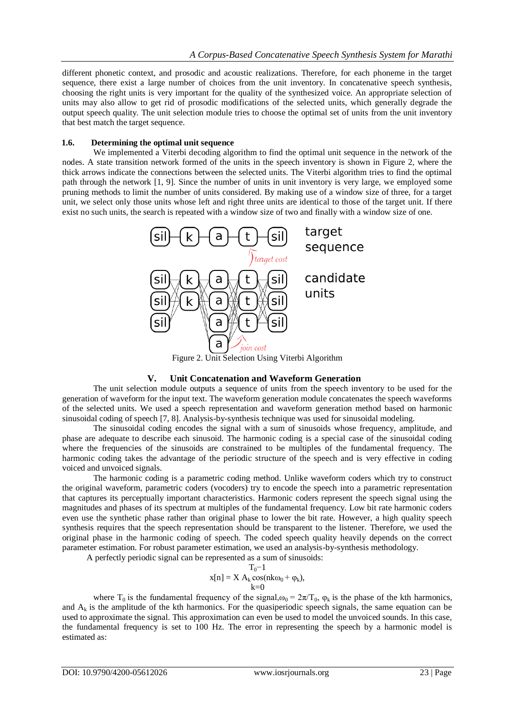different phonetic context, and prosodic and acoustic realizations. Therefore, for each phoneme in the target sequence, there exist a large number of choices from the unit inventory. In concatenative speech synthesis, choosing the right units is very important for the quality of the synthesized voice. An appropriate selection of units may also allow to get rid of prosodic modifications of the selected units, which generally degrade the output speech quality. The unit selection module tries to choose the optimal set of units from the unit inventory that best match the target sequence.

#### **1.6. Determining the optimal unit sequence**

We implemented a Viterbi decoding algorithm to find the optimal unit sequence in the network of the nodes. A state transition network formed of the units in the speech inventory is shown in Figure 2, where the thick arrows indicate the connections between the selected units. The Viterbi algorithm tries to find the optimal path through the network [1, 9]. Since the number of units in unit inventory is very large, we employed some pruning methods to limit the number of units considered. By making use of a window size of three, for a target unit, we select only those units whose left and right three units are identical to those of the target unit. If there exist no such units, the search is repeated with a window size of two and finally with a window size of one.



Figure 2. Unit Selection Using Viterbi Algorithm

#### **V. Unit Concatenation and Waveform Generation**

The unit selection module outputs a sequence of units from the speech inventory to be used for the generation of waveform for the input text. The waveform generation module concatenates the speech waveforms of the selected units. We used a speech representation and waveform generation method based on harmonic sinusoidal coding of speech [7, 8]. Analysis-by-synthesis technique was used for sinusoidal modeling.

The sinusoidal coding encodes the signal with a sum of sinusoids whose frequency, amplitude, and phase are adequate to describe each sinusoid. The harmonic coding is a special case of the sinusoidal coding where the frequencies of the sinusoids are constrained to be multiples of the fundamental frequency. The harmonic coding takes the advantage of the periodic structure of the speech and is very effective in coding voiced and unvoiced signals.

The harmonic coding is a parametric coding method. Unlike waveform coders which try to construct the original waveform, parametric coders (vocoders) try to encode the speech into a parametric representation that captures its perceptually important characteristics. Harmonic coders represent the speech signal using the magnitudes and phases of its spectrum at multiples of the fundamental frequency. Low bit rate harmonic coders even use the synthetic phase rather than original phase to lower the bit rate. However, a high quality speech synthesis requires that the speech representation should be transparent to the listener. Therefore, we used the original phase in the harmonic coding of speech. The coded speech quality heavily depends on the correct parameter estimation. For robust parameter estimation, we used an analysis-by-synthesis methodology.

A perfectly periodic signal can be represented as a sum of sinusoids:

$$
x[n]=X\ A_k\cos(nk\omega_0+\phi_k),\\ k{=}0
$$

where T<sub>0</sub> is the fundamental frequency of the signal, $\omega_0 = 2\pi/T_0$ ,  $\varphi_k$  is the phase of the kth harmonics, and  $A_k$  is the amplitude of the kth harmonics. For the quasiperiodic speech signals, the same equation can be used to approximate the signal. This approximation can even be used to model the unvoiced sounds. In this case, the fundamental frequency is set to 100 Hz. The error in representing the speech by a harmonic model is estimated as: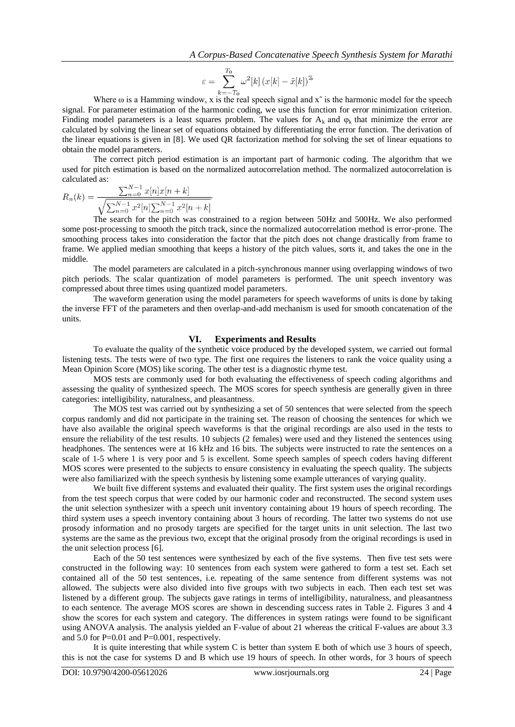$$
\varepsilon = \sum_{k=-T_0}^{T_0} \omega^2[k] \left( x[k] - \tilde{x}[k] \right)^2
$$

Where  $\omega$  is a Hamming window, x is the real speech signal and  $x^2$  is the harmonic model for the speech signal. For parameter estimation of the harmonic coding, we use this function for error minimization criterion. Finding model parameters is a least squares problem. The values for  $A_k$  and  $\varphi_k$  that minimize the error are calculated by solving the linear set of equations obtained by differentiating the error function. The derivation of the linear equations is given in [8]. We used QR factorization method for solving the set of linear equations to obtain the model parameters.

The correct pitch period estimation is an important part of harmonic coding. The algorithm that we used for pitch estimation is based on the normalized autocorrelation method. The normalized autocorrelation is calculated as:

$$
R_n(k) = \frac{\sum_{n=0}^{N-1} x[n]x[n+k]}{\sqrt{\sum_{n=0}^{N-1} x^2[n] \sum_{n=0}^{N-1} x^2[n+k]}}.
$$

The search for the pitch was constrained to a region between 50Hz and 500Hz. We also performed some post-processing to smooth the pitch track, since the normalized autocorrelation method is error-prone. The smoothing process takes into consideration the factor that the pitch does not change drastically from frame to frame. We applied median smoothing that keeps a history of the pitch values, sorts it, and takes the one in the middle.

The model parameters are calculated in a pitch-synchronous manner using overlapping windows of two pitch periods. The scalar quantization of model parameters is performed. The unit speech inventory was compressed about three times using quantized model parameters.

The waveform generation using the model parameters for speech waveforms of units is done by taking the inverse FFT of the parameters and then overlap-and-add mechanism is used for smooth concatenation of the units.

#### **VI. Experiments and Results**

To evaluate the quality of the synthetic voice produced by the developed system, we carried out formal listening tests. The tests were of two type. The first one requires the listeners to rank the voice quality using a Mean Opinion Score (MOS) like scoring. The other test is a diagnostic rhyme test.

MOS tests are commonly used for both evaluating the effectiveness of speech coding algorithms and assessing the quality of synthesized speech. The MOS scores for speech synthesis are generally given in three categories: intelligibility, naturalness, and pleasantness.

The MOS test was carried out by synthesizing a set of 50 sentences that were selected from the speech corpus randomly and did not participate in the training set. The reason of choosing the sentences for which we have also available the original speech waveforms is that the original recordings are also used in the tests to ensure the reliability of the test results. 10 subjects (2 females) were used and they listened the sentences using headphones. The sentences were at 16 kHz and 16 bits. The subjects were instructed to rate the sentences on a scale of 1-5 where 1 is very poor and 5 is excellent. Some speech samples of speech coders having different MOS scores were presented to the subjects to ensure consistency in evaluating the speech quality. The subjects were also familiarized with the speech synthesis by listening some example utterances of varying quality.

We built five different systems and evaluated their quality. The first system uses the original recordings from the test speech corpus that were coded by our harmonic coder and reconstructed. The second system uses the unit selection synthesizer with a speech unit inventory containing about 19 hours of speech recording. The third system uses a speech inventory containing about 3 hours of recording. The latter two systems do not use prosody information and no prosody targets are specified for the target units in unit selection. The last two systems are the same as the previous two, except that the original prosody from the original recordings is used in the unit selection process [6].

Each of the 50 test sentences were synthesized by each of the five systems. Then five test sets were constructed in the following way: 10 sentences from each system were gathered to form a test set. Each set contained all of the 50 test sentences, i.e. repeating of the same sentence from different systems was not allowed. The subjects were also divided into five groups with two subjects in each. Then each test set was listened by a different group. The subjects gave ratings in terms of intelligibility, naturalness, and pleasantness to each sentence. The average MOS scores are shown in descending success rates in Table 2. Figures 3 and 4 show the scores for each system and category. The differences in system ratings were found to be significant using ANOVA analysis. The analysis yielded an F-value of about 21 whereas the critical F-values are about 3.3 and 5.0 for P=0.01 and P=0.001, respectively.

It is quite interesting that while system C is better than system E both of which use 3 hours of speech, this is not the case for systems D and B which use 19 hours of speech. In other words, for 3 hours of speech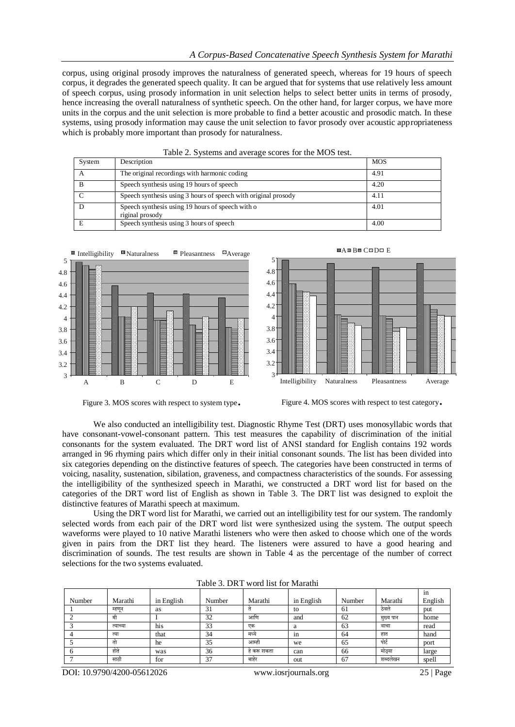corpus, using original prosody improves the naturalness of generated speech, whereas for 19 hours of speech corpus, it degrades the generated speech quality. It can be argued that for systems that use relatively less amount of speech corpus, using prosody information in unit selection helps to select better units in terms of prosody, hence increasing the overall naturalness of synthetic speech. On the other hand, for larger corpus, we have more units in the corpus and the unit selection is more probable to find a better acoustic and prosodic match. In these systems, using prosody information may cause the unit selection to favor prosody over acoustic appropriateness which is probably more important than prosody for naturalness.

| System      | Description                                                         | <b>MOS</b> |
|-------------|---------------------------------------------------------------------|------------|
| $\mathbf A$ | The original recordings with harmonic coding                        | 4.91       |
| B           | Speech synthesis using 19 hours of speech                           | 4.20       |
|             | Speech synthesis using 3 hours of speech with original prosody      | 4.11       |
|             | Speech synthesis using 19 hours of speech with o<br>riginal prosody | 4.01       |
| E           | Speech synthesis using 3 hours of speech                            | 4.00       |







Figure 3. MOS scores with respect to system type. Figure 4. MOS scores with respect to test category.

We also conducted an intelligibility test. Diagnostic Rhyme Test (DRT) uses monosyllabic words that have consonant-vowel-consonant pattern. This test measures the capability of discrimination of the initial consonants for the system evaluated. The DRT word list of ANSI standard for English contains 192 words arranged in 96 rhyming pairs which differ only in their initial consonant sounds. The list has been divided into six categories depending on the distinctive features of speech. The categories have been constructed in terms of voicing, nasality, sustenation, sibilation, graveness, and compactness characteristics of the sounds. For assessing the intelligibility of the synthesized speech in Marathi, we constructed a DRT word list for based on the categories of the DRT word list of English as shown in Table 3. The DRT list was designed to exploit the distinctive features of Marathi speech at maximum.

Using the DRT word list for Marathi, we carried out an intelligibility test for our system. The randomly selected words from each pair of the DRT word list were synthesized using the system. The output speech waveforms were played to 10 native Marathi listeners who were then asked to choose which one of the words given in pairs from the DRT list they heard. The listeners were assured to have a good hearing and discrimination of sounds. The test results are shown in Table 4 as the percentage of the number of correct selections for the two systems evaluated.

|        |          |            |        |             |            |        |           | in      |
|--------|----------|------------|--------|-------------|------------|--------|-----------|---------|
| Number | Marathi  | in English | Number | Marathi     | in English | Number | Marathi   | English |
|        | म्हणून   | as         | 31     |             | to         | 61     | ठेवले     | put     |
|        | मी       |            | 32     | आणि         | and        | 62     | मुख्य पान | home    |
|        | त्याच्या | his        | 33     | एक          | a          | 63     | वाचा      | read    |
|        | त्या     | that       | 34     | मध्ये       | 1n         | 64     | हात       | hand    |
|        | तो       | he         | 35     | आम्ही       | we         | 65     | पोर्ट     | port    |
|        | होते     | was        | 36     | हे करू शकता | can        | 66     | मोठया     | large   |
|        | साठी     | for        | 37     | बाहर        | out        | 67     | शब्दलेखन  | spell   |

Table 3. DRT word list for Marathi

DOI: 10.9790/4200-05612026 www.iosrjournals.org 25 | Page